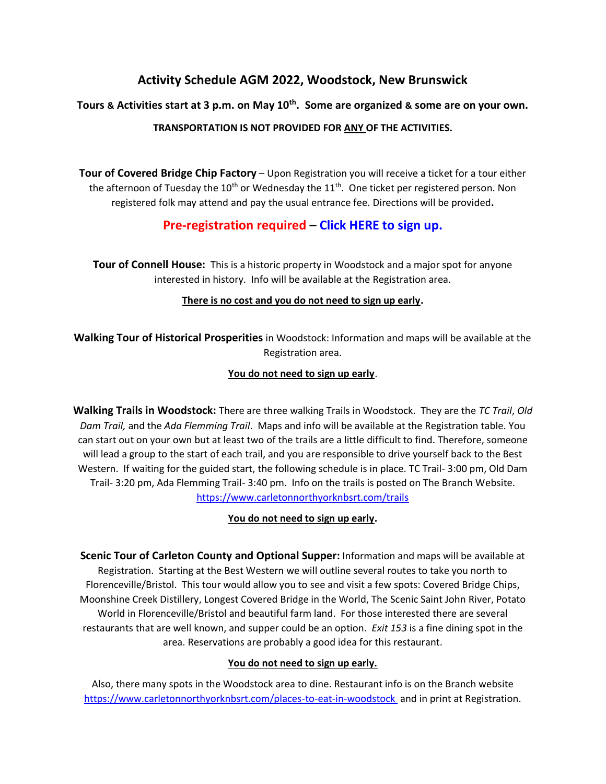# **Activity Schedule AGM 2022, Woodstock, New Brunswick**

# **Tours & Activities start at 3 p.m. on May 10th. Some are organized & some are on your own.**

# **TRANSPORTATION IS NOT PROVIDED FOR ANY OF THE ACTIVITIES.**

**Tour of Covered Bridge Chip Factory** – Upon Registration you will receive a ticket for a tour either the afternoon of Tuesday the 10<sup>th</sup> or Wednesday the 11<sup>th</sup>. One ticket per registered person. Non registered folk may attend and pay the usual entrance fee. Directions will be provided**.** 

# **Pre-registration required – [Click HERE to sign up.](https://www.nbsrt.org/events-registration-agm-covered-bridge-tour/)**

**Tour of Connell House:** This is a historic property in Woodstock and a major spot for anyone interested in history. Info will be available at the Registration area.

# **There is no cost and you do not need to sign up early.**

**Walking Tour of Historical Prosperities** in Woodstock: Information and maps will be available at the Registration area.

#### **You do not need to sign up early**.

**Walking Trails in Woodstock:** There are three walking Trails in Woodstock. They are the *TC Trail*, *Old Dam Trail,* and the *Ada Flemming Trail*. Maps and info will be available at the Registration table. You can start out on your own but at least two of the trails are a little difficult to find. Therefore, someone will lead a group to the start of each trail, and you are responsible to drive yourself back to the Best Western. If waiting for the guided start, the following schedule is in place. TC Trail- 3:00 pm, Old Dam Trail- 3:20 pm, Ada Flemming Trail- 3:40 pm. Info on the trails is posted on The Branch Website. <https://www.carletonnorthyorknbsrt.com/trails>

#### **You do not need to sign up early.**

**Scenic Tour of Carleton County and Optional Supper:** Information and maps will be available at Registration. Starting at the Best Western we will outline several routes to take you north to Florenceville/Bristol. This tour would allow you to see and visit a few spots: Covered Bridge Chips, Moonshine Creek Distillery, Longest Covered Bridge in the World, The Scenic Saint John River, Potato World in Florenceville/Bristol and beautiful farm land. For those interested there are several restaurants that are well known, and supper could be an option. *Exit 153* is a fine dining spot in the area. Reservations are probably a good idea for this restaurant.

#### **You do not need to sign up early.**

Also, there many spots in the Woodstock area to dine. Restaurant info is on the Branch website <https://www.carletonnorthyorknbsrt.com/places-to-eat-in-woodstock> and in print at Registration.